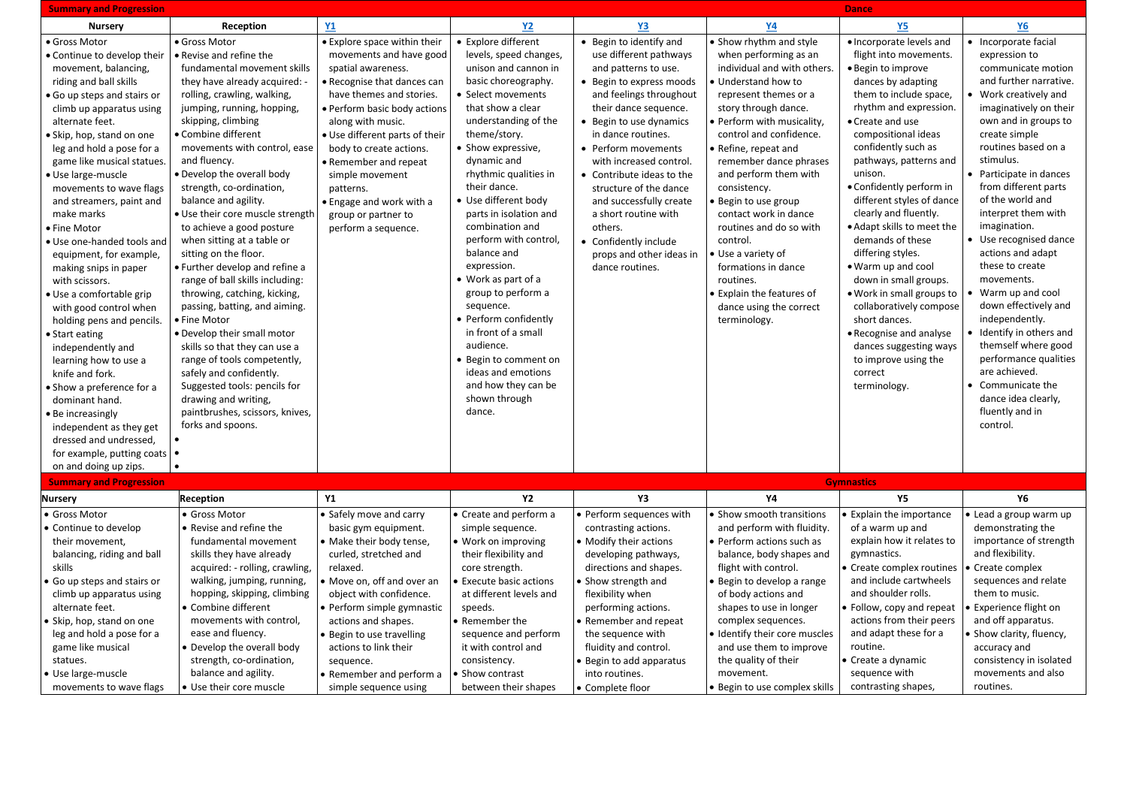| <b>Summary and Progression</b>           | <b>Dance</b>                                                 |                                   |                                              |                           |                               |                                                   |                                        |
|------------------------------------------|--------------------------------------------------------------|-----------------------------------|----------------------------------------------|---------------------------|-------------------------------|---------------------------------------------------|----------------------------------------|
| <b>Nursery</b>                           | Reception                                                    | <b>Y1</b>                         | <b>Y2</b>                                    | <b>Y3</b>                 | <u>Y4</u>                     | <u>Y5</u>                                         | <b>Y6</b>                              |
| • Gross Motor                            | · Gross Motor                                                | <b>Explore space within their</b> | • Explore different                          | • Begin to identify and   | Show rhythm and style         | • Incorporate levels and                          | Incorporate facial                     |
| • Continue to develop their              | • Revise and refine the                                      | movements and have good           | levels, speed changes,                       | use different pathways    | when performing as an         | flight into movements.                            | expression to                          |
| movement, balancing,                     | fundamental movement skills                                  | spatial awareness.                | unison and cannon in                         | and patterns to use.      | individual and with others.   | • Begin to improve                                | communicate motion                     |
| riding and ball skills                   | they have already acquired: -                                | Recognise that dances can         | basic choreography.                          | • Begin to express moods  | • Understand how to           | dances by adapting                                | and further narrative.                 |
| Go up steps and stairs or                | rolling, crawling, walking,                                  | have themes and stories.          | • Select movements                           | and feelings throughout   | represent themes or a         | them to include space,                            | • Work creatively and                  |
| climb up apparatus using                 | jumping, running, hopping,                                   | Perform basic body actions        | that show a clear                            | their dance sequence.     | story through dance.          | rhythm and expression.                            | imaginatively on their                 |
| alternate feet.                          | skipping, climbing                                           | along with music.                 | understanding of the                         | • Begin to use dynamics   | Perform with musicality,      | • Create and use                                  | own and in groups to                   |
| · Skip, hop, stand on one                | • Combine different                                          | . Use different parts of their    | theme/story.                                 | in dance routines.        | control and confidence.       | compositional ideas                               | create simple                          |
| leg and hold a pose for a                | movements with control, ease                                 | body to create actions.           | • Show expressive,                           | • Perform movements       | Refine, repeat and            | confidently such as                               | routines based on a                    |
| game like musical statues.               | and fluency.                                                 | Remember and repeat               | dynamic and                                  | with increased control.   | remember dance phrases        | pathways, patterns and                            | stimulus.                              |
| · Use large-muscle                       | . Develop the overall body                                   | simple movement                   | rhythmic qualities in                        | • Contribute ideas to the | and perform them with         | unison.                                           | • Participate in dances                |
| movements to wave flags                  | strength, co-ordination,                                     | patterns.                         | their dance.                                 | structure of the dance    | consistency.                  | • Confidently perform in                          | from different parts                   |
| and streamers, paint and                 | balance and agility.                                         | • Engage and work with a          | • Use different body                         | and successfully create   | Begin to use group            | different styles of dance                         | of the world and                       |
| make marks                               | . Use their core muscle strength                             | group or partner to               | parts in isolation and                       | a short routine with      | contact work in dance         | clearly and fluently.                             | interpret them with                    |
| • Fine Motor                             | to achieve a good posture                                    | perform a sequence.               | combination and                              | others.                   | routines and do so with       | . Adapt skills to meet the                        | imagination.                           |
| • Use one-handed tools and               | when sitting at a table or                                   |                                   | perform with control,                        | • Confidently include     | control.                      | demands of these                                  | • Use recognised dance                 |
| equipment, for example,                  | sitting on the floor.                                        |                                   | balance and                                  | props and other ideas in  | Use a variety of              | differing styles.                                 | actions and adapt                      |
| making snips in paper                    | • Further develop and refine a                               |                                   | expression.                                  | dance routines.           | formations in dance           | . Warm up and cool                                | these to create                        |
| with scissors.                           | range of ball skills including:                              |                                   | • Work as part of a                          |                           | routines.                     | down in small groups.                             | movements.                             |
| · Use a comfortable grip                 | throwing, catching, kicking,                                 |                                   | group to perform a                           |                           | Explain the features of       | • Work in small groups to                         | Warm up and cool                       |
| with good control when                   | passing, batting, and aiming.                                |                                   | sequence.                                    |                           | dance using the correct       | collaboratively compose                           | down effectively and<br>independently. |
| holding pens and pencils.                | • Fine Motor                                                 |                                   | • Perform confidently<br>in front of a small |                           | terminology.                  | short dances.                                     | Identify in others and                 |
| • Start eating                           | • Develop their small motor                                  |                                   | audience.                                    |                           |                               | • Recognise and analyse<br>dances suggesting ways | themself where good                    |
| independently and                        | skills so that they can use a<br>range of tools competently, |                                   | • Begin to comment on                        |                           |                               | to improve using the                              | performance qualities                  |
| learning how to use a<br>knife and fork. | safely and confidently.                                      |                                   | ideas and emotions                           |                           |                               | correct                                           | are achieved.                          |
| • Show a preference for a                | Suggested tools: pencils for                                 |                                   | and how they can be                          |                           |                               | terminology.                                      | • Communicate the                      |
| dominant hand.                           | drawing and writing,                                         |                                   | shown through                                |                           |                               |                                                   | dance idea clearly,                    |
| <b>Be increasingly</b>                   | paintbrushes, scissors, knives,                              |                                   | dance.                                       |                           |                               |                                                   | fluently and in                        |
| independent as they get                  | forks and spoons.                                            |                                   |                                              |                           |                               |                                                   | control.                               |
| dressed and undressed,                   |                                                              |                                   |                                              |                           |                               |                                                   |                                        |
| for example, putting coats $\bullet$     |                                                              |                                   |                                              |                           |                               |                                                   |                                        |
| on and doing up zips.                    |                                                              |                                   |                                              |                           |                               |                                                   |                                        |
| <b>Summary and Progression</b>           |                                                              |                                   |                                              |                           |                               | <b>Gymnastics</b>                                 |                                        |
| <b>Nursery</b>                           | Reception                                                    | <b>Y1</b>                         | <b>Y2</b>                                    | Y3                        | Y4                            | <b>Y5</b>                                         | <b>Y6</b>                              |
| • Gross Motor                            | · Gross Motor                                                | • Safely move and carry           | • Create and perform a                       | · Perform sequences with  | · Show smooth transitions     | Explain the importance                            | Lead a group warm up                   |
| • Continue to develop                    | Revise and refine the                                        | basic gym equipment.              | simple sequence.                             | contrasting actions.      | and perform with fluidity.    | of a warm up and                                  | demonstrating the                      |
| their movement,                          | fundamental movement                                         | • Make their body tense,          | • Work on improving                          | • Modify their actions    | • Perform actions such as     | explain how it relates to                         | importance of strength                 |
| balancing, riding and ball               | skills they have already                                     | curled, stretched and             | their flexibility and                        | developing pathways,      | balance, body shapes and      | gymnastics.                                       | and flexibility.                       |
| skills                                   | acquired: - rolling, crawling,                               | relaxed.                          | core strength.                               | directions and shapes.    | flight with control.          | Create complex routines                           | Create complex                         |
| Go up steps and stairs or                | walking, jumping, running,                                   | • Move on, off and over an        | <b>Execute basic actions</b>                 | Show strength and         | Begin to develop a range      | and include cartwheels                            | sequences and relate                   |
| climb up apparatus using                 | hopping, skipping, climbing                                  | object with confidence.           | at different levels and                      | flexibility when          | of body actions and           | and shoulder rolls.                               | them to music.                         |
| alternate feet.                          | Combine different                                            | • Perform simple gymnastic        | speeds.                                      | performing actions.       | shapes to use in longer       | Follow, copy and repeat                           | Experience flight on                   |
| Skip, hop, stand on one                  | movements with control,                                      | actions and shapes.               | • Remember the                               | Remember and repeat       | complex sequences.            | actions from their peers                          | and off apparatus.                     |
| leg and hold a pose for a                | ease and fluency.                                            | · Begin to use travelling         | sequence and perform                         | the sequence with         | Identify their core muscles   | and adapt these for a                             | Show clarity, fluency,                 |
| game like musical                        | Develop the overall body                                     | actions to link their             | it with control and                          | fluidity and control.     | and use them to improve       | routine.                                          | accuracy and                           |
| statues.                                 | strength, co-ordination,                                     | sequence.                         | consistency.                                 | Begin to add apparatus    | the quality of their          | Create a dynamic                                  | consistency in isolated                |
| · Use large-muscle                       | balance and agility.                                         | • Remember and perform a          | • Show contrast                              | into routines.            | movement.                     | sequence with                                     | movements and also                     |
| movements to wave flags                  | · Use their core muscle                                      | simple sequence using             | between their shapes                         | • Complete floor          | · Begin to use complex skills | contrasting shapes,                               | routines.                              |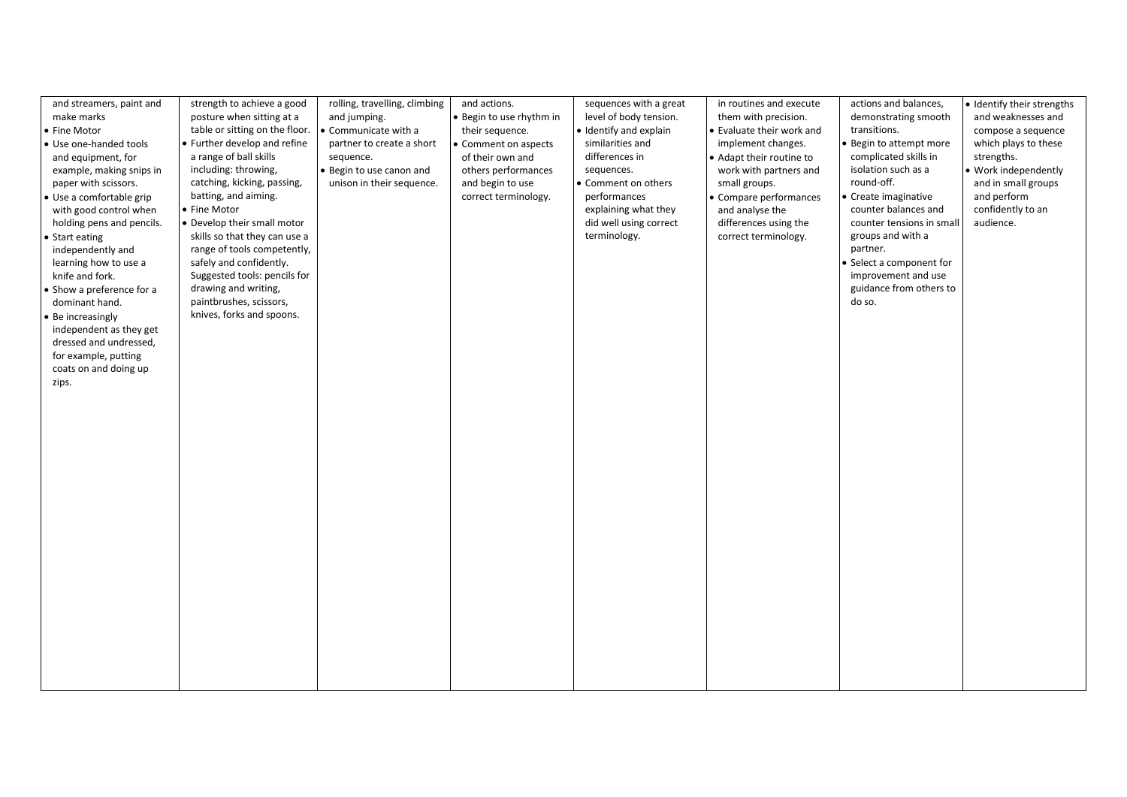| strength to achieve a good<br>and streamers, paint and<br>make marks<br>posture when sitting at a<br>• Fine Motor<br>table or sitting on the floor.<br>• Further develop and refine<br>• Use one-handed tools<br>a range of ball skills<br>and equipment, for<br>including: throwing,<br>example, making snips in<br>catching, kicking, passing,<br>paper with scissors.<br>batting, and aiming.<br>· Use a comfortable grip<br>• Fine Motor<br>with good control when<br>• Develop their small motor<br>holding pens and pencils.<br>skills so that they can use a<br>• Start eating<br>range of tools competently,<br>independently and<br>safely and confidently.<br>learning how to use a<br>Suggested tools: pencils for<br>knife and fork.<br>drawing and writing,<br>• Show a preference for a<br>paintbrushes, scissors,<br>dominant hand.<br>knives, forks and spoons.<br>• Be increasingly<br>independent as they get<br>dressed and undressed,<br>for example, putting<br>coats on and doing up<br>zips. | rolling, travelling, climbing<br>and jumping.<br>Communicate with a<br>partner to create a short<br>sequence.<br>Begin to use canon and<br>unison in their sequence. | and actions.<br>· Begin to use rhythm in<br>their sequence.<br>• Comment on aspects<br>of their own and<br>others performances<br>and begin to use<br>correct terminology. | sequences with a great<br>level of body tension.<br>• Identify and explain<br>similarities and<br>differences in<br>sequences.<br>• Comment on others<br>performances<br>explaining what they<br>did well using correct<br>terminology. | in routines and execute<br>them with precision.<br>• Evaluate their work and<br>implement changes.<br>Adapt their routine to<br>work with partners and<br>small groups.<br>Compare performances<br>and analyse the<br>differences using the<br>correct terminology. | actions and balances,<br>demonstrating smooth<br>transitions.<br>Begin to attempt more<br>complicated skills in<br>isolation such as a<br>round-off.<br>Create imaginative<br>counter balances and<br>counter tensions in small<br>groups and with a<br>partner.<br>Select a component for<br>improvement and use<br>guidance from others to<br>do so. | · Identify their strengths<br>and weaknesses and<br>compose a sequence<br>which plays to these<br>strengths.<br>· Work independently<br>and in small groups<br>and perform<br>confidently to an<br>audience. |
|---------------------------------------------------------------------------------------------------------------------------------------------------------------------------------------------------------------------------------------------------------------------------------------------------------------------------------------------------------------------------------------------------------------------------------------------------------------------------------------------------------------------------------------------------------------------------------------------------------------------------------------------------------------------------------------------------------------------------------------------------------------------------------------------------------------------------------------------------------------------------------------------------------------------------------------------------------------------------------------------------------------------|----------------------------------------------------------------------------------------------------------------------------------------------------------------------|----------------------------------------------------------------------------------------------------------------------------------------------------------------------------|-----------------------------------------------------------------------------------------------------------------------------------------------------------------------------------------------------------------------------------------|---------------------------------------------------------------------------------------------------------------------------------------------------------------------------------------------------------------------------------------------------------------------|--------------------------------------------------------------------------------------------------------------------------------------------------------------------------------------------------------------------------------------------------------------------------------------------------------------------------------------------------------|--------------------------------------------------------------------------------------------------------------------------------------------------------------------------------------------------------------|
|                                                                                                                                                                                                                                                                                                                                                                                                                                                                                                                                                                                                                                                                                                                                                                                                                                                                                                                                                                                                                     |                                                                                                                                                                      |                                                                                                                                                                            |                                                                                                                                                                                                                                         |                                                                                                                                                                                                                                                                     |                                                                                                                                                                                                                                                                                                                                                        |                                                                                                                                                                                                              |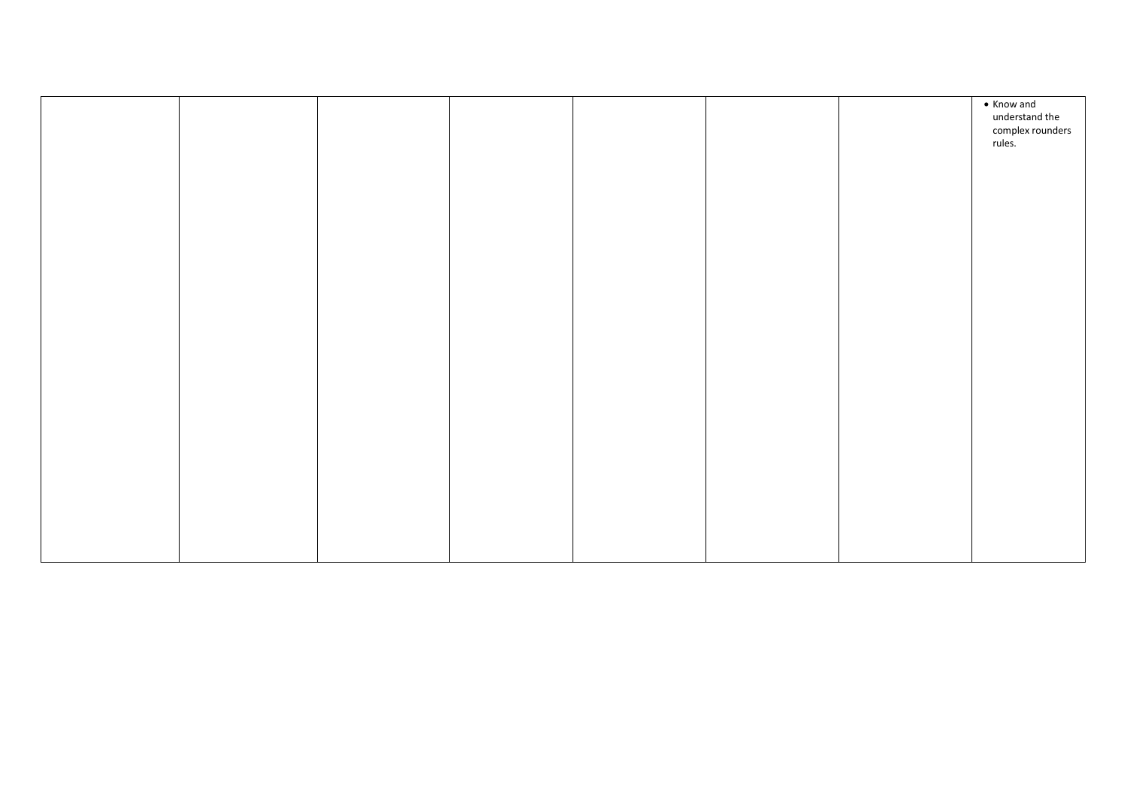|  |  |  | • Know and<br>understand the<br>complex rounders<br>rules. |
|--|--|--|------------------------------------------------------------|
|  |  |  |                                                            |
|  |  |  |                                                            |
|  |  |  |                                                            |
|  |  |  |                                                            |
|  |  |  |                                                            |
|  |  |  |                                                            |
|  |  |  |                                                            |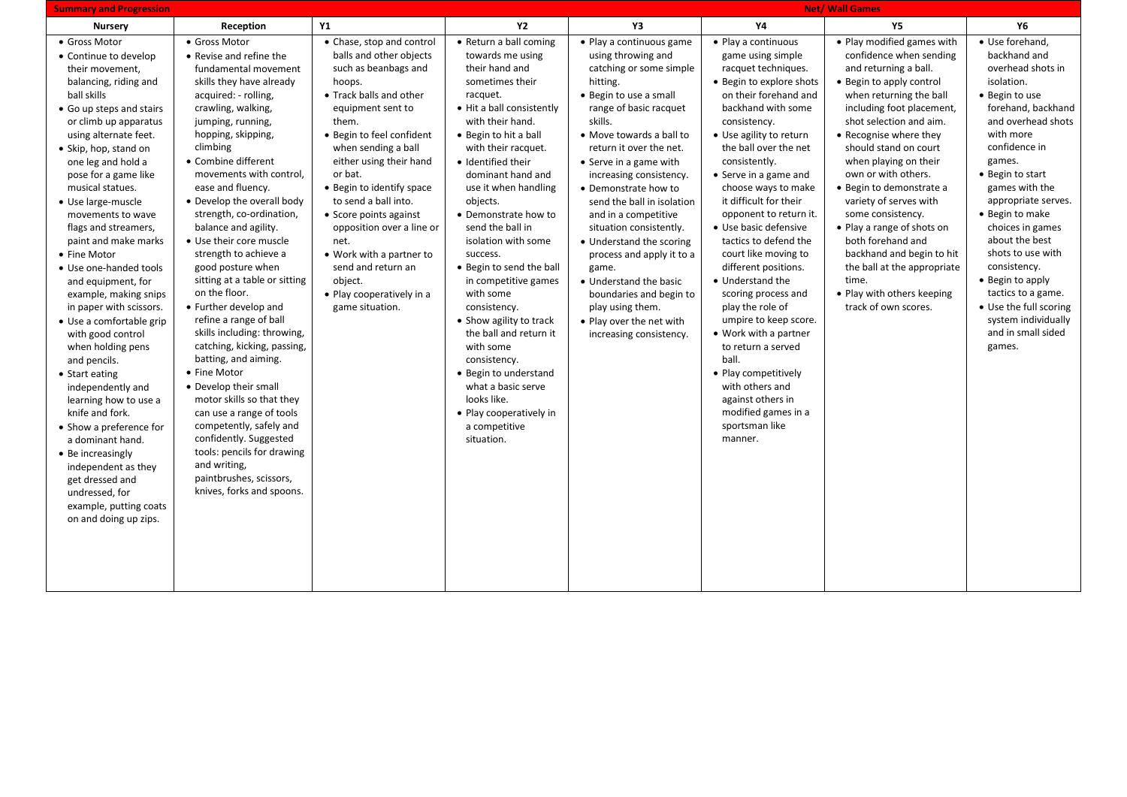| <b>Summary and Progression</b>                                                                                                                                                                                                                                                                                                                                                                                                                                                                                                                                                                                                                                                                                                                                                                                                                        |                                                                                                                                                                                                                                                                                                                                                                                                                                                                                                                                                                                                                                                                                                                                                                                                                                                                                             |                                                                                                                                                                                                                                                                                                                                                                                                                                                                            |                                                                                                                                                                                                                                                                                                                                                                                                                                                                                                                                                                                                                                                       | <b>Net/ Wall Games</b>                                                                                                                                                                                                                                                                                                                                                                                                                                                                                                                                                      |                                                                                                                                                                                                                                                                                                                                                                                                                                                                                                                                                                                                                                                                                                           |                                                                                                                                                                                                                                                                                                                                                                                                                                                                                                                                                           |                                                                                                                                                                                                                                                                                                                                                                                                                                                                |
|-------------------------------------------------------------------------------------------------------------------------------------------------------------------------------------------------------------------------------------------------------------------------------------------------------------------------------------------------------------------------------------------------------------------------------------------------------------------------------------------------------------------------------------------------------------------------------------------------------------------------------------------------------------------------------------------------------------------------------------------------------------------------------------------------------------------------------------------------------|---------------------------------------------------------------------------------------------------------------------------------------------------------------------------------------------------------------------------------------------------------------------------------------------------------------------------------------------------------------------------------------------------------------------------------------------------------------------------------------------------------------------------------------------------------------------------------------------------------------------------------------------------------------------------------------------------------------------------------------------------------------------------------------------------------------------------------------------------------------------------------------------|----------------------------------------------------------------------------------------------------------------------------------------------------------------------------------------------------------------------------------------------------------------------------------------------------------------------------------------------------------------------------------------------------------------------------------------------------------------------------|-------------------------------------------------------------------------------------------------------------------------------------------------------------------------------------------------------------------------------------------------------------------------------------------------------------------------------------------------------------------------------------------------------------------------------------------------------------------------------------------------------------------------------------------------------------------------------------------------------------------------------------------------------|-----------------------------------------------------------------------------------------------------------------------------------------------------------------------------------------------------------------------------------------------------------------------------------------------------------------------------------------------------------------------------------------------------------------------------------------------------------------------------------------------------------------------------------------------------------------------------|-----------------------------------------------------------------------------------------------------------------------------------------------------------------------------------------------------------------------------------------------------------------------------------------------------------------------------------------------------------------------------------------------------------------------------------------------------------------------------------------------------------------------------------------------------------------------------------------------------------------------------------------------------------------------------------------------------------|-----------------------------------------------------------------------------------------------------------------------------------------------------------------------------------------------------------------------------------------------------------------------------------------------------------------------------------------------------------------------------------------------------------------------------------------------------------------------------------------------------------------------------------------------------------|----------------------------------------------------------------------------------------------------------------------------------------------------------------------------------------------------------------------------------------------------------------------------------------------------------------------------------------------------------------------------------------------------------------------------------------------------------------|
| <b>Nursery</b>                                                                                                                                                                                                                                                                                                                                                                                                                                                                                                                                                                                                                                                                                                                                                                                                                                        | Reception                                                                                                                                                                                                                                                                                                                                                                                                                                                                                                                                                                                                                                                                                                                                                                                                                                                                                   | Υ1                                                                                                                                                                                                                                                                                                                                                                                                                                                                         | <b>Y2</b>                                                                                                                                                                                                                                                                                                                                                                                                                                                                                                                                                                                                                                             | Y3                                                                                                                                                                                                                                                                                                                                                                                                                                                                                                                                                                          | Υ4                                                                                                                                                                                                                                                                                                                                                                                                                                                                                                                                                                                                                                                                                                        | <b>Y5</b>                                                                                                                                                                                                                                                                                                                                                                                                                                                                                                                                                 | Υ6                                                                                                                                                                                                                                                                                                                                                                                                                                                             |
| • Gross Motor<br>• Continue to develop<br>their movement,<br>balancing, riding and<br>ball skills<br>• Go up steps and stairs<br>or climb up apparatus<br>using alternate feet.<br>• Skip, hop, stand on<br>one leg and hold a<br>pose for a game like<br>musical statues.<br>• Use large-muscle<br>movements to wave<br>flags and streamers,<br>paint and make marks<br>• Fine Motor<br>• Use one-handed tools<br>and equipment, for<br>example, making snips<br>in paper with scissors.<br>· Use a comfortable grip<br>with good control<br>when holding pens<br>and pencils.<br>• Start eating<br>independently and<br>learning how to use a<br>knife and fork.<br>• Show a preference for<br>a dominant hand.<br>• Be increasingly<br>independent as they<br>get dressed and<br>undressed, for<br>example, putting coats<br>on and doing up zips. | • Gross Motor<br>• Revise and refine the<br>fundamental movement<br>skills they have already<br>acquired: - rolling,<br>crawling, walking,<br>jumping, running,<br>hopping, skipping,<br>climbing<br>• Combine different<br>movements with control,<br>ease and fluency.<br>• Develop the overall body<br>strength, co-ordination,<br>balance and agility.<br>· Use their core muscle<br>strength to achieve a<br>good posture when<br>sitting at a table or sitting<br>on the floor.<br>• Further develop and<br>refine a range of ball<br>skills including: throwing,<br>catching, kicking, passing,<br>batting, and aiming.<br>• Fine Motor<br>• Develop their small<br>motor skills so that they<br>can use a range of tools<br>competently, safely and<br>confidently. Suggested<br>tools: pencils for drawing<br>and writing,<br>paintbrushes, scissors,<br>knives, forks and spoons. | • Chase, stop and control<br>balls and other objects<br>such as beanbags and<br>hoops.<br>• Track balls and other<br>equipment sent to<br>them.<br>· Begin to feel confident<br>when sending a ball<br>either using their hand<br>or bat.<br>• Begin to identify space<br>to send a ball into.<br>• Score points against<br>opposition over a line or<br>net.<br>• Work with a partner to<br>send and return an<br>object.<br>• Play cooperatively in a<br>game situation. | • Return a ball coming<br>towards me using<br>their hand and<br>sometimes their<br>racquet.<br>• Hit a ball consistently<br>with their hand.<br>• Begin to hit a ball<br>with their racquet.<br>· Identified their<br>dominant hand and<br>use it when handling<br>objects.<br>• Demonstrate how to<br>send the ball in<br>isolation with some<br>success.<br>• Begin to send the ball<br>in competitive games<br>with some<br>consistency.<br>• Show agility to track<br>the ball and return it<br>with some<br>consistency.<br>• Begin to understand<br>what a basic serve<br>looks like.<br>• Play cooperatively in<br>a competitive<br>situation. | • Play a continuous game<br>using throwing and<br>catching or some simple<br>hitting.<br>• Begin to use a small<br>range of basic racquet<br>skills.<br>• Move towards a ball to<br>return it over the net.<br>• Serve in a game with<br>increasing consistency.<br>• Demonstrate how to<br>send the ball in isolation<br>and in a competitive<br>situation consistently.<br>• Understand the scoring<br>process and apply it to a<br>game.<br>• Understand the basic<br>boundaries and begin to<br>play using them.<br>• Play over the net with<br>increasing consistency. | • Play a continuous<br>game using simple<br>racquet techniques.<br>· Begin to explore shots<br>on their forehand and<br>backhand with some<br>consistency.<br>• Use agility to return<br>the ball over the net<br>consistently.<br>• Serve in a game and<br>choose ways to make<br>it difficult for their<br>opponent to return it.<br>• Use basic defensive<br>tactics to defend the<br>court like moving to<br>different positions.<br>• Understand the<br>scoring process and<br>play the role of<br>umpire to keep score.<br>• Work with a partner<br>to return a served<br>ball.<br>• Play competitively<br>with others and<br>against others in<br>modified games in a<br>sportsman like<br>manner. | • Play modified games with<br>confidence when sending<br>and returning a ball.<br>• Begin to apply control<br>when returning the ball<br>including foot placement,<br>shot selection and aim.<br>• Recognise where they<br>should stand on court<br>when playing on their<br>own or with others.<br>• Begin to demonstrate a<br>variety of serves with<br>some consistency.<br>• Play a range of shots on<br>both forehand and<br>backhand and begin to hit<br>the ball at the appropriate<br>time.<br>• Play with others keeping<br>track of own scores. | · Use forehand,<br>backhand and<br>overhead shots in<br>isolation.<br>• Begin to use<br>forehand, backhand<br>and overhead shots<br>with more<br>confidence in<br>games.<br>• Begin to start<br>games with the<br>appropriate serves.<br>• Begin to make<br>choices in games<br>about the best<br>shots to use with<br>consistency.<br>• Begin to apply<br>tactics to a game.<br>• Use the full scoring<br>system individually<br>and in small sided<br>games. |
|                                                                                                                                                                                                                                                                                                                                                                                                                                                                                                                                                                                                                                                                                                                                                                                                                                                       |                                                                                                                                                                                                                                                                                                                                                                                                                                                                                                                                                                                                                                                                                                                                                                                                                                                                                             |                                                                                                                                                                                                                                                                                                                                                                                                                                                                            |                                                                                                                                                                                                                                                                                                                                                                                                                                                                                                                                                                                                                                                       |                                                                                                                                                                                                                                                                                                                                                                                                                                                                                                                                                                             |                                                                                                                                                                                                                                                                                                                                                                                                                                                                                                                                                                                                                                                                                                           |                                                                                                                                                                                                                                                                                                                                                                                                                                                                                                                                                           |                                                                                                                                                                                                                                                                                                                                                                                                                                                                |